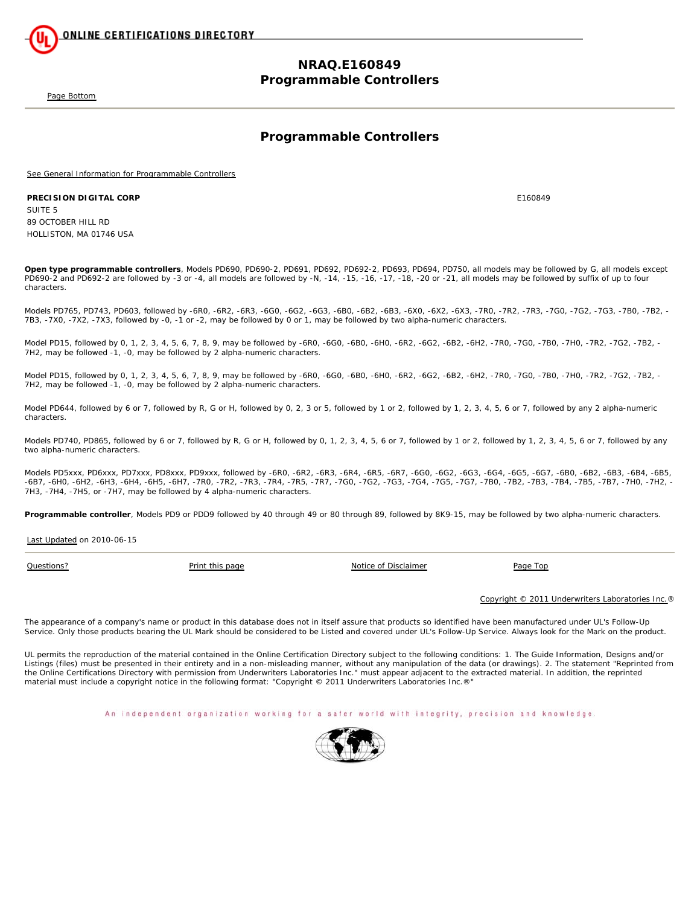

## **NRAQ.E160849 Programmable Controllers**

Page Bottom

## **Programmable Controllers**

See General Information for Programmable Controllers

#### **PRECISION DIGITAL CORP** E160849

SUITE 5 89 OCTOBER HILL RD HOLLISTON, MA 01746 USA

**Open type programmable controllers**, Models PD690, PD690-2, PD691, PD692, PD692-2, PD693, PD694, PD750, all models may be followed by G, all models except PD690-2 and PD692-2 are followed by -3 or -4, all models are followed by -N, -14, -15, -16, -17, -18, -20 or -21, all models may be followed by suffix of up to four characters.

Models PD765, PD743, PD603, followed by -6R0, -6R2, -6R3, -6G0, -6G2, -6G3, -6B0, -6B2, -6B3, -6X0, -6X2, -6X3, -7R0, -7R2, -7R3, -7G0, -7G2, -7G3, -7B0, -7B2, - 7B3, -7X0, -7X2, -7X3, followed by -0, -1 or -2, may be followed by 0 or 1, may be followed by two alpha-numeric characters.

Model PD15, followed by 0, 1, 2, 3, 4, 5, 6, 7, 8, 9, may be followed by -6R0, -6G0, -6B0, -6H0, -6R2, -6B2, -6B2, -6H2, -7R0, -7G0, -7B0, -7H0, -7R2, -7G2, -7B2, -7G2, -7B2, -7G2, -7B2, -7H2, may be followed -1, -0, may be followed by 2 alpha-numeric characters.

Model PD15, followed by 0, 1, 2, 3, 4, 5, 6, 7, 8, 9, may be followed by -6R0, -6G0, -6B0, -6H0, -6R2, -6B2, -6B2, -6H2, -7R0, -7R0, -7B0, -7H0, -7R2, -7G2, -7B2, -7G2, -7B2, -7G2, -7B2, -7H2, may be followed -1, -0, may be followed by 2 alpha-numeric characters.

Model PD644, followed by 6 or 7, followed by R, G or H, followed by 0, 2, 3 or 5, followed by 1 or 2, followed by 1, 2, 3, 4, 5, 6 or 7, followed by any 2 alpha-numeric characters.

Models PD740, PD865, followed by 6 or 7, followed by R, G or H, followed by 0, 1, 2, 3, 4, 5, 6 or 7, followed by 1 or 2, followed by 1, 2, 3, 4, 5, 6 or 7, followed by any two alpha-numeric characters.

Models PD5xxx, PD6xxx, PD7xxx, PD8xxx, PD9xxx, followed by -6R0, -6R2, -6R3, -6R4, -6R5, -6R7, -6G0, -6G2, -6G3, -6G4, -6G5, -6G7, -6B0, -6B2, -6B3, -6B4, -6B5, -6B7, -6H0, -6H2, -6H3, -6H4, -6H5, -6H7, -7R0, -7R2, -7R3, -7R4, -7R5, -7R7, -7G0, -7G2, -7G3, -7G4, -7G5, -7G7, -7B0, -7B2, -7B3, -7B4, -7B5, -7B7, -7H0, -7H2, - 7H3, -7H4, -7H5, or -7H7, may be followed by 4 alpha-numeric characters.

**Programmable controller**, Models PD9 or PDD9 followed by 40 through 49 or 80 through 89, followed by 8K9-15, may be followed by two alpha-numeric characters.

Last Updated on 2010-06-15

**Questions?** Print this page Notice of Disclaimer Page Top

Copyright © 2011 Underwriters Laboratories Inc.®

The appearance of a company's name or product in this database does not in itself assure that products so identified have been manufactured under UL's Follow-Up Service. Only those products bearing the UL Mark should be considered to be Listed and covered under UL's Follow-Up Service. Always look for the Mark on the product.

UL permits the reproduction of the material contained in the Online Certification Directory subject to the following conditions: 1. The Guide Information, Designs and/or Listings (files) must be presented in their entirety and in a non-misleading manner, without any manipulation of the data (or drawings). 2. The statement "Reprinted from the Online Certifications Directory with permission from Underwriters Laboratories Inc." must appear adjacent to the extracted material. In addition, the reprinted material must include a copyright notice in the following format: "Copyright © 2011 Underwriters Laboratories Inc.®"

An independent organization working for a safer world with integrity, precision and knowledge.